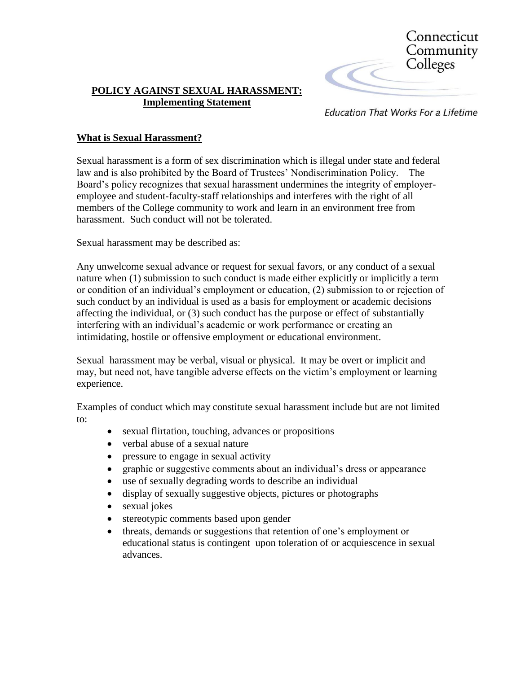

## **POLICY AGAINST SEXUAL HARASSMENT: Implementing Statement**

**Education That Works For a Lifetime** 

# **What is Sexual Harassment?**

Sexual harassment is a form of sex discrimination which is illegal under state and federal law and is also prohibited by the Board of Trustees' Nondiscrimination Policy. The Board's policy recognizes that sexual harassment undermines the integrity of employeremployee and student-faculty-staff relationships and interferes with the right of all members of the College community to work and learn in an environment free from harassment. Such conduct will not be tolerated.

Sexual harassment may be described as:

Any unwelcome sexual advance or request for sexual favors, or any conduct of a sexual nature when (1) submission to such conduct is made either explicitly or implicitly a term or condition of an individual's employment or education, (2) submission to or rejection of such conduct by an individual is used as a basis for employment or academic decisions affecting the individual, or (3) such conduct has the purpose or effect of substantially interfering with an individual's academic or work performance or creating an intimidating, hostile or offensive employment or educational environment.

Sexual harassment may be verbal, visual or physical. It may be overt or implicit and may, but need not, have tangible adverse effects on the victim's employment or learning experience.

Examples of conduct which may constitute sexual harassment include but are not limited to:

- sexual flirtation, touching, advances or propositions
- verbal abuse of a sexual nature
- pressure to engage in sexual activity
- graphic or suggestive comments about an individual's dress or appearance
- use of sexually degrading words to describe an individual
- display of sexually suggestive objects, pictures or photographs
- sexual jokes
- stereotypic comments based upon gender
- threats, demands or suggestions that retention of one's employment or educational status is contingent upon toleration of or acquiescence in sexual advances.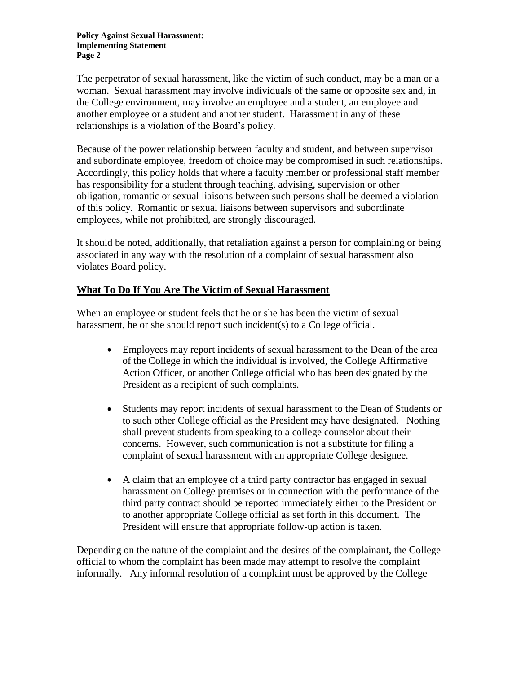The perpetrator of sexual harassment, like the victim of such conduct, may be a man or a woman. Sexual harassment may involve individuals of the same or opposite sex and, in the College environment, may involve an employee and a student, an employee and another employee or a student and another student. Harassment in any of these relationships is a violation of the Board's policy.

Because of the power relationship between faculty and student, and between supervisor and subordinate employee, freedom of choice may be compromised in such relationships. Accordingly, this policy holds that where a faculty member or professional staff member has responsibility for a student through teaching, advising, supervision or other obligation, romantic or sexual liaisons between such persons shall be deemed a violation of this policy. Romantic or sexual liaisons between supervisors and subordinate employees, while not prohibited, are strongly discouraged.

It should be noted, additionally, that retaliation against a person for complaining or being associated in any way with the resolution of a complaint of sexual harassment also violates Board policy.

# **What To Do If You Are The Victim of Sexual Harassment**

When an employee or student feels that he or she has been the victim of sexual harassment, he or she should report such incident(s) to a College official.

- Employees may report incidents of sexual harassment to the Dean of the area of the College in which the individual is involved, the College Affirmative Action Officer, or another College official who has been designated by the President as a recipient of such complaints.
- Students may report incidents of sexual harassment to the Dean of Students or to such other College official as the President may have designated. Nothing shall prevent students from speaking to a college counselor about their concerns. However, such communication is not a substitute for filing a complaint of sexual harassment with an appropriate College designee.
- A claim that an employee of a third party contractor has engaged in sexual harassment on College premises or in connection with the performance of the third party contract should be reported immediately either to the President or to another appropriate College official as set forth in this document. The President will ensure that appropriate follow-up action is taken.

Depending on the nature of the complaint and the desires of the complainant, the College official to whom the complaint has been made may attempt to resolve the complaint informally. Any informal resolution of a complaint must be approved by the College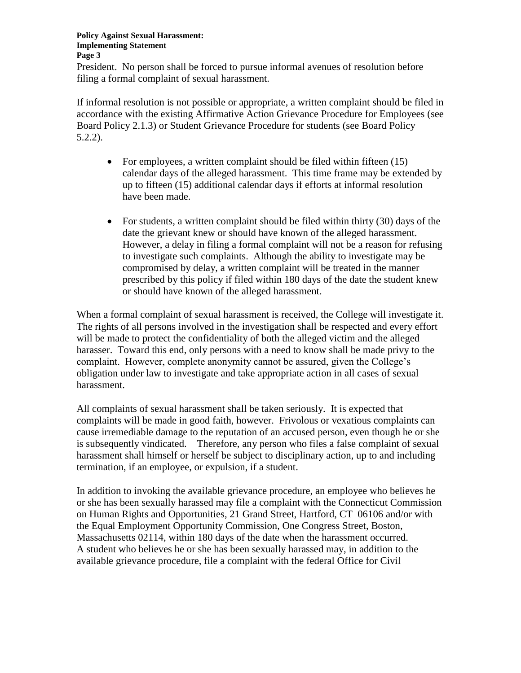#### **Policy Against Sexual Harassment: Implementing Statement Page 3**

President. No person shall be forced to pursue informal avenues of resolution before filing a formal complaint of sexual harassment.

If informal resolution is not possible or appropriate, a written complaint should be filed in accordance with the existing Affirmative Action Grievance Procedure for Employees (see Board Policy 2.1.3) or Student Grievance Procedure for students (see Board Policy 5.2.2).

- For employees, a written complaint should be filed within fifteen  $(15)$ calendar days of the alleged harassment. This time frame may be extended by up to fifteen (15) additional calendar days if efforts at informal resolution have been made.
- For students, a written complaint should be filed within thirty (30) days of the date the grievant knew or should have known of the alleged harassment. However, a delay in filing a formal complaint will not be a reason for refusing to investigate such complaints. Although the ability to investigate may be compromised by delay, a written complaint will be treated in the manner prescribed by this policy if filed within 180 days of the date the student knew or should have known of the alleged harassment.

When a formal complaint of sexual harassment is received, the College will investigate it. The rights of all persons involved in the investigation shall be respected and every effort will be made to protect the confidentiality of both the alleged victim and the alleged harasser. Toward this end, only persons with a need to know shall be made privy to the complaint. However, complete anonymity cannot be assured, given the College's obligation under law to investigate and take appropriate action in all cases of sexual harassment.

All complaints of sexual harassment shall be taken seriously. It is expected that complaints will be made in good faith, however. Frivolous or vexatious complaints can cause irremediable damage to the reputation of an accused person, even though he or she is subsequently vindicated. Therefore, any person who files a false complaint of sexual harassment shall himself or herself be subject to disciplinary action, up to and including termination, if an employee, or expulsion, if a student.

In addition to invoking the available grievance procedure, an employee who believes he or she has been sexually harassed may file a complaint with the Connecticut Commission on Human Rights and Opportunities, 21 Grand Street, Hartford, CT 06106 and/or with the Equal Employment Opportunity Commission, One Congress Street, Boston, Massachusetts 02114, within 180 days of the date when the harassment occurred. A student who believes he or she has been sexually harassed may, in addition to the available grievance procedure, file a complaint with the federal Office for Civil